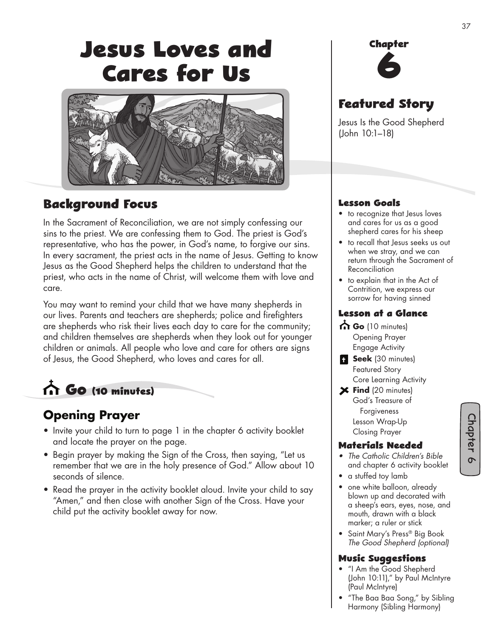# **Jesus Loves and Cares for Us**



### **Background Focus**

In the Sacrament of Reconciliation, we are not simply confessing our sins to the priest. We are confessing them to God. The priest is God's representative, who has the power, in God's name, to forgive our sins. In every sacrament, the priest acts in the name of Jesus. Getting to know Jesus as the Good Shepherd helps the children to understand that the priest, who acts in the name of Christ, will welcome them with love and care.

You may want to remind your child that we have many shepherds in our lives. Parents and teachers are shepherds; police and firefighters are shepherds who risk their lives each day to care for the community; and children themselves are shepherds when they look out for younger children or animals. All people who love and care for others are signs of Jesus, the Good Shepherd, who loves and cares for all.

 **Go (10 minutes)**

### **Opening Prayer**

- Invite your child to turn to page 1 in the chapter 6 activity booklet and locate the prayer on the page.
- Begin prayer by making the Sign of the Cross, then saying, "Let us remember that we are in the holy presence of God." Allow about 10 seconds of silence.
- Read the prayer in the activity booklet aloud. Invite your child to say "Amen," and then close with another Sign of the Cross. Have your child put the activity booklet away for now.



37

### **Featured Story**

Jesus Is the Good Shepherd (John 10:1–18)

#### **Lesson Goals**

- to recognize that Jesus loves and cares for us as a good shepherd cares for his sheep
- to recall that Jesus seeks us out when we stray, and we can return through the Sacrament of Reconciliation
- to explain that in the Act of Contrition, we express our sorrow for having sinned

#### **Lesson at a Glance**

- **Go** (10 minutes) Opening Prayer Engage Activity
- **Seek** (30 minutes) Featured Story Core Learning Activity
- **Find** (20 minutes) God's Treasure of Forgiveness Lesson Wrap-Up Closing Prayer

#### **Materials Needed**

- *The Catholic Children's Bible* and chapter 6 activity booklet
- a stuffed toy lamb
- one white balloon, already blown up and decorated with a sheep's ears, eyes, nose, and mouth, drawn with a black marker; a ruler or stick
- Saint Mary's Press® Big Book *The Good Shepherd (optional)*

#### **Music Su�gestions**

- "I Am the Good Shepherd (John 10:11)," by Paul McIntyre (Paul McIntyre)
- "The Baa Baa Song," by Sibling Harmony (Sibling Harmony)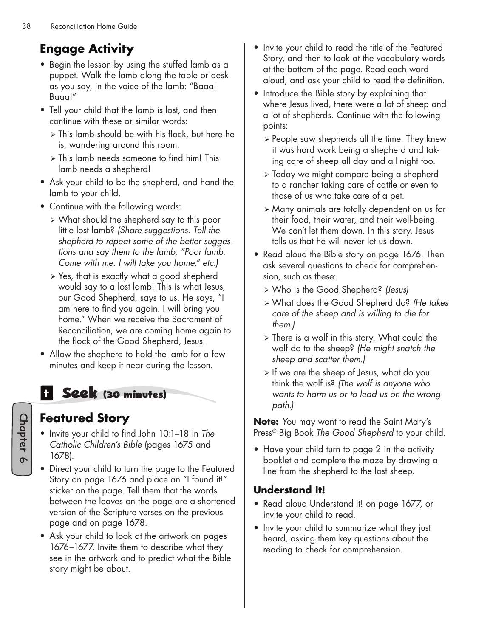# **Engage Activity**

- Begin the lesson by using the stuffed lamb as a puppet. Walk the lamb along the table or desk as you say, in the voice of the lamb: "Baaa! Baaa!"
- Tell your child that the lamb is lost, and then continue with these or similar words:
	- $\geq$  This lamb should be with his flock, but here he is, wandering around this room.
	- $\ge$  This lamb needs someone to find him! This lamb needs a shepherd!
- Ask your child to be the shepherd, and hand the lamb to your child.
- Continue with the following words:
	- ¾ What should the shepherd say to this poor little lost lamb? *(Share suggestions. Tell the shepherd to repeat some of the better suggestions and say them to the lamb, "Poor lamb. Come with me. I will take you home," etc.)*
	- $\geq$  Yes, that is exactly what a good shepherd would say to a lost lamb! This is what Jesus, our Good Shepherd, says to us. He says, "I am here to find you again. I will bring you home." When we receive the Sacrament of Reconciliation, we are coming home again to the flock of the Good Shepherd, Jesus.
- Allow the shepherd to hold the lamb for a few minutes and keep it near during the lesson.

# **Seek (30 minutes)**

### **Featured Story**

- Invite your child to find John 10:1–18 in *The Catholic Children's Bible* (pages 1675 and 1678).
- Direct your child to turn the page to the Featured Story on page 1676 and place an "I found it!" sticker on the page. Tell them that the words between the leaves on the page are a shortened version of the Scripture verses on the previous page and on page 1678.
- Ask your child to look at the artwork on pages 1676–1677. Invite them to describe what they see in the artwork and to predict what the Bible story might be about.
- Invite your child to read the title of the Featured Story, and then to look at the vocabulary words at the bottom of the page. Read each word aloud, and ask your child to read the definition.
- Introduce the Bible story by explaining that where Jesus lived, there were a lot of sheep and a lot of shepherds. Continue with the following points:
	- ¾ People saw shepherds all the time. They knew it was hard work being a shepherd and taking care of sheep all day and all night too.
	- ¾ Today we might compare being a shepherd to a rancher taking care of cattle or even to those of us who take care of a pet.
	- ¾ Many animals are totally dependent on us for their food, their water, and their well-being. We can't let them down. In this story, Jesus tells us that he will never let us down.
- Read aloud the Bible story on page 1676. Then ask several questions to check for comprehension, such as these:
	- ¾ Who is the Good Shepherd? *(Jesus)*
	- ¾ What does the Good Shepherd do? *(He takes care of the sheep and is willing to die for them.)*
	- ¾ There is a wolf in this story. What could the wolf do to the sheep? *(He might snatch the sheep and scatter them.)*
	- ¾ If we are the sheep of Jesus, what do you think the wolf is? *(The wolf is anyone who wants to harm us or to lead us on the wrong path.)*

**Note:** *Y*ou may want to read the Saint Mary's Press® Big Book *The Good Shepherd* to your child.

• Have your child turn to page 2 in the activity booklet and complete the maze by drawing a line from the shepherd to the lost sheep.

### **Understand It!**

- Read aloud Understand It! on page 1677, or invite your child to read.
- Invite your child to summarize what they just heard, asking them key questions about the reading to check for comprehension.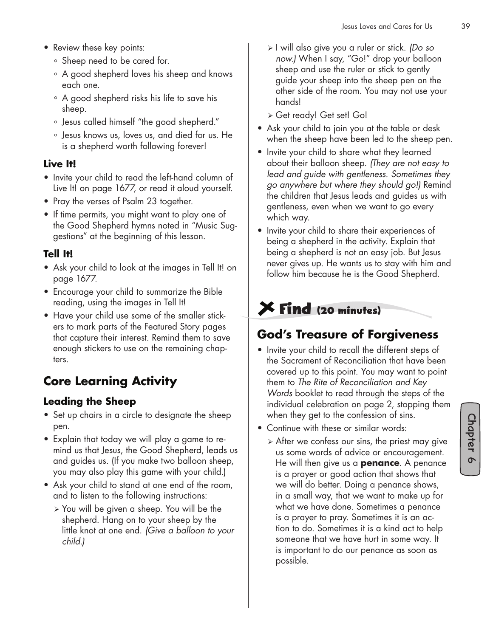- Review these key points:
	- ° Sheep need to be cared for.
	- ° A good shepherd loves his sheep and knows each one.
	- ° A good shepherd risks his life to save his sheep.
	- ° Jesus called himself "the good shepherd."
	- ° Jesus knows us, loves us, and died for us. He is a shepherd worth following forever!

#### **Live It!**

- Invite your child to read the left-hand column of Live It! on page 1677, or read it aloud yourself.
- Pray the verses of Psalm 23 together.
- If time permits, you might want to play one of the Good Shepherd hymns noted in "Music Suggestions" at the beginning of this lesson.

### **Tell It!**

- Ask your child to look at the images in Tell It! on page 1677.
- Encourage your child to summarize the Bible reading, using the images in Tell It!
- Have your child use some of the smaller stickers to mark parts of the Featured Story pages that capture their interest. Remind them to save enough stickers to use on the remaining chapters.

# **Core Learning Activity**

### **Leading the Sheep**

- Set up chairs in a circle to designate the sheep pen.
- Explain that today we will play a game to remind us that Jesus, the Good Shepherd, leads us and guides us. (If you make two balloon sheep, you may also play this game with your child.)
- Ask your child to stand at one end of the room, and to listen to the following instructions:
	- ¾ You will be given a sheep. You will be the shepherd. Hang on to your sheep by the little knot at one end. *(Give a balloon to your child.)*
- ¾ I will also give you a ruler or stick. *(Do so now.)* When I say, "Go!" drop your balloon sheep and use the ruler or stick to gently guide your sheep into the sheep pen on the other side of the room. You may not use your hands!
- ¾ Get ready! Get set! Go!
- Ask your child to join you at the table or desk when the sheep have been led to the sheep pen.
- Invite your child to share what they learned about their balloon sheep. *(They are not easy to lead and guide with gentleness. Sometimes they go anywhere but where they should go!)* Remind the children that Jesus leads and guides us with gentleness, even when we want to go every which way.
- Invite your child to share their experiences of being a shepherd in the activity. Explain that being a shepherd is not an easy job. But Jesus never gives up. He wants us to stay with him and follow him because he is the Good Shepherd.

# **Find (20 minutes)**

### **God's Treasure of Forgiveness**

- Invite your child to recall the different steps of the Sacrament of Reconciliation that have been covered up to this point. You may want to point them to *The Rite of Reconciliation and Key Words* booklet to read through the steps of the individual celebration on page 2, stopping them when they get to the confession of sins.
- Continue with these or similar words:
	- $\triangleright$  After we confess our sins, the priest may give us some words of advice or encouragement. He will then give us a **penance**. A penance is a prayer or good action that shows that we will do better. Doing a penance shows, in a small way, that we want to make up for what we have done. Sometimes a penance is a prayer to pray. Sometimes it is an action to do. Sometimes it is a kind act to help someone that we have hurt in some way. It is important to do our penance as soon as possible.